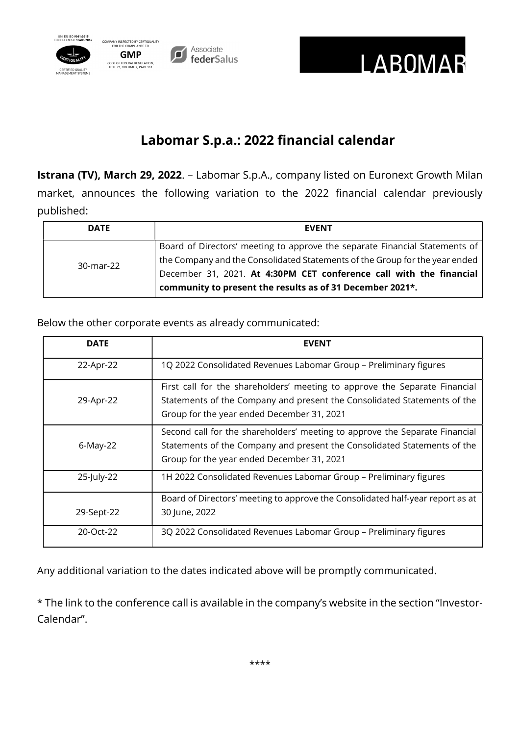



## Labomar S.p.a.: 2022 financial calendar

Istrana (TV), March 29, 2022. - Labomar S.p.A., company listed on Euronext Growth Milan market, announces the following variation to the 2022 financial calendar previously published:

| <b>DATE</b> | <b>EVENT</b>                                                                                                                                               |
|-------------|------------------------------------------------------------------------------------------------------------------------------------------------------------|
| 30-mar-22   | Board of Directors' meeting to approve the separate Financial Statements of<br>the Company and the Consolidated Statements of the Group for the year ended |
|             | December 31, 2021. At 4:30PM CET conference call with the financial<br>community to present the results as of 31 December 2021*.                           |

Below the other corporate events as already communicated:

| <b>DATE</b> | <b>EVENT</b>                                                                                                                                                                                          |
|-------------|-------------------------------------------------------------------------------------------------------------------------------------------------------------------------------------------------------|
| 22-Apr-22   | 1Q 2022 Consolidated Revenues Labomar Group - Preliminary figures                                                                                                                                     |
| 29-Apr-22   | First call for the shareholders' meeting to approve the Separate Financial<br>Statements of the Company and present the Consolidated Statements of the<br>Group for the year ended December 31, 2021  |
| 6-May-22    | Second call for the shareholders' meeting to approve the Separate Financial<br>Statements of the Company and present the Consolidated Statements of the<br>Group for the year ended December 31, 2021 |
| 25-July-22  | 1H 2022 Consolidated Revenues Labomar Group - Preliminary figures                                                                                                                                     |
| 29-Sept-22  | Board of Directors' meeting to approve the Consolidated half-year report as at<br>30 June, 2022                                                                                                       |
| 20-Oct-22   | 3Q 2022 Consolidated Revenues Labomar Group - Preliminary figures                                                                                                                                     |

Any additional variation to the dates indicated above will be promptly communicated.

\* The link to the conference call is available in the company's website in the section "Investor-Calendar".